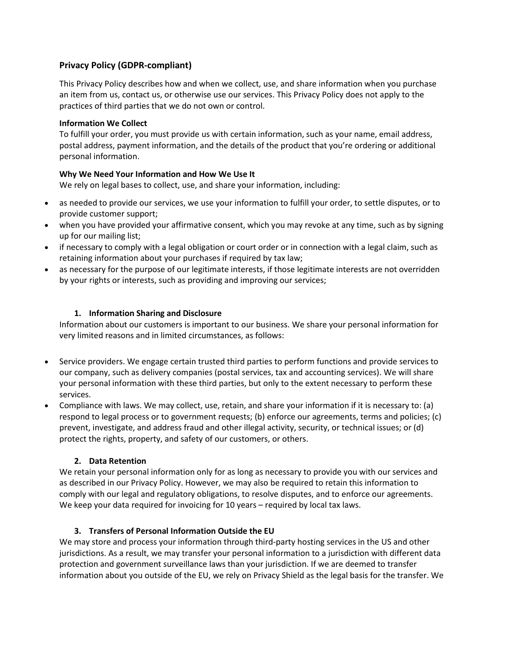# **Privacy Policy (GDPR-compliant)**

This Privacy Policy describes how and when we collect, use, and share information when you purchase an item from us, contact us, or otherwise use our services. This Privacy Policy does not apply to the practices of third parties that we do not own or control.

#### **Information We Collect**

To fulfill your order, you must provide us with certain information, such as your name, email address, postal address, payment information, and the details of the product that you're ordering or additional personal information.

### **Why We Need Your Information and How We Use It**

We rely on legal bases to collect, use, and share your information, including:

- as needed to provide our services, we use your information to fulfill your order, to settle disputes, or to provide customer support;
- when you have provided your affirmative consent, which you may revoke at any time, such as by signing up for our mailing list;
- if necessary to comply with a legal obligation or court order or in connection with a legal claim, such as retaining information about your purchases if required by tax law;
- as necessary for the purpose of our legitimate interests, if those legitimate interests are not overridden by your rights or interests, such as providing and improving our services;

#### **1. Information Sharing and Disclosure**

Information about our customers is important to our business. We share your personal information for very limited reasons and in limited circumstances, as follows:

- Service providers. We engage certain trusted third parties to perform functions and provide services to our company, such as delivery companies (postal services, tax and accounting services). We will share your personal information with these third parties, but only to the extent necessary to perform these services.
- Compliance with laws. We may collect, use, retain, and share your information if it is necessary to: (a) respond to legal process or to government requests; (b) enforce our agreements, terms and policies; (c) prevent, investigate, and address fraud and other illegal activity, security, or technical issues; or (d) protect the rights, property, and safety of our customers, or others.

### **2. Data Retention**

We retain your personal information only for as long as necessary to provide you with our services and as described in our Privacy Policy. However, we may also be required to retain this information to comply with our legal and regulatory obligations, to resolve disputes, and to enforce our agreements. We keep your data required for invoicing for 10 years – required by local tax laws.

### **3. Transfers of Personal Information Outside the EU**

We may store and process your information through third-party hosting services in the US and other jurisdictions. As a result, we may transfer your personal information to a jurisdiction with different data protection and government surveillance laws than your jurisdiction. If we are deemed to transfer information about you outside of the EU, we rely on Privacy Shield as the legal basis for the transfer. We